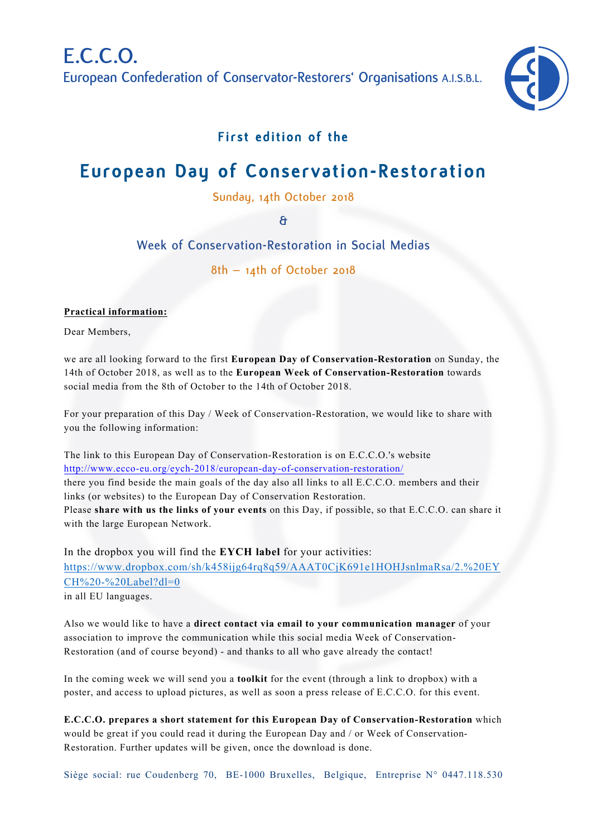

# **First edition of the**

# **European Day of Conservation-Restoration**

**Sunday, 14th October 2018**

**&**

**Week of Conservation-Restoration in Social Medias**

**8th – 14th of October 2018**

#### **Practical information:**

Dear Members,

we are all looking forward to the first **European Day of Conservation-Restoration** on Sunday, the 14th of October 2018, as well as to the **European Week of Conservation-Restoration** towards social media from the 8th of October to the 14th of October 2018.

For your preparation of this Day / Week of Conservation-Restoration, we would like to share with you the following information:

The link to this European Day of Conservation-Restoration is on E.C.C.O.'s website http://www.ecco-eu.org/eych-2018/european-day-of-conservation-restoration/ there you find beside the main goals of the day also all links to all E.C.C.O. members and their links (or websites) to the European Day of Conservation Restoration. Please **share with us the links of your events** on this Day, if possible, so that E.C.C.O. can share it with the large European Network.

In the dropbox you will find the **EYCH label** for your activities: https://www.dropbox.com/sh/k458ijg64rq8q59/AAAT0CjK691e1HOHJsnlmaRsa/2.%20EY CH%20-%20Label?dl=0 in all EU languages.

Also we would like to have a **direct contact via email to your communication manager** of your association to improve the communication while this social media Week of Conservation-Restoration (and of course beyond) - and thanks to all who gave already the contact!

In the coming week we will send you a **toolkit** for the event (through a link to dropbox) with a poster, and access to upload pictures, as well as soon a press release of E.C.C.O. for this event.

**E.C.C.O. prepares a short statement for this European Day of Conservation-Restoration** which would be great if you could read it during the European Day and / or Week of Conservation-Restoration. Further updates will be given, once the download is done.

Siège social: rue Coudenberg 70, BE-1000 Bruxelles, Belgique, Entreprise N° 0447.118.530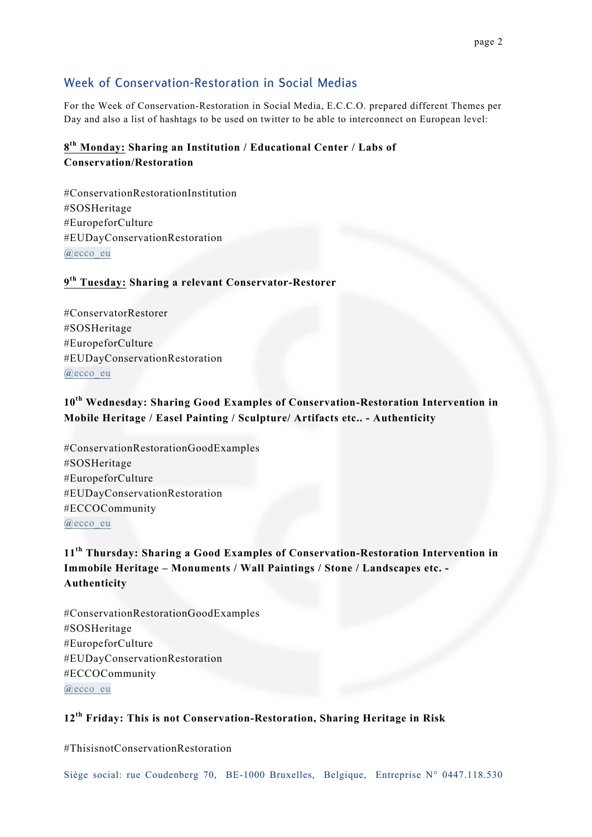## **Week of Conservation-Restoration in Social Medias**

For the Week of Conservation-Restoration in Social Media, E.C.C.O. prepared different Themes per Day and also a list of hashtags to be used on twitter to be able to interconnect on European level:

## **8th Monday: Sharing an Institution / Educational Center / Labs of Conservation/Restoration**

#ConservationRestorationInstitution #SOSHeritage #EuropeforCulture #EUDayConservationRestoration **@**ecco\_eu

#### **9th Tuesday: Sharing a relevant Conservator-Restorer**

#ConservatorRestorer #SOSHeritage #EuropeforCulture #EUDayConservationRestoration **@**ecco\_eu

#### **10th Wednesday: Sharing Good Examples of Conservation-Restoration Intervention in Mobile Heritage / Easel Painting / Sculpture/ Artifacts etc.. - Authenticity**

#ConservationRestorationGoodExamples #SOSHeritage #EuropeforCulture #EUDayConservationRestoration #ECCOCommunity **@**ecco\_eu

# **11th Thursday: Sharing a Good Examples of Conservation-Restoration Intervention in Immobile Heritage – Monuments / Wall Paintings / Stone / Landscapes etc. - Authenticity**

#ConservationRestorationGoodExamples #SOSHeritage #EuropeforCulture #EUDayConservationRestoration #ECCOCommunity **@**ecco\_eu

#### **12th Friday: This is not Conservation-Restoration, Sharing Heritage in Risk**

#ThisisnotConservationRestoration

Siège social: rue Coudenberg 70, BE-1000 Bruxelles, Belgique, Entreprise N° 0447.118.530